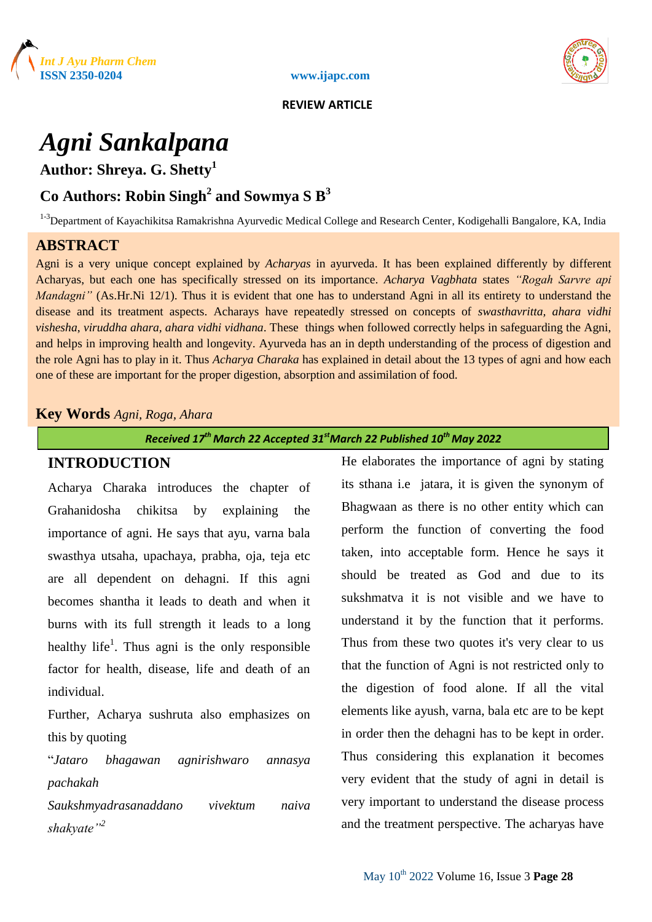



 **REVIEW ARTICLE**

# *Agni Sankalpana*

**Author: Shreya. G. Shetty<sup>1</sup>**

## **Co Authors: Robin Singh<sup>2</sup> and Sowmya S B 3**

<sup>1-3</sup>Department of Kayachikitsa Ramakrishna Ayurvedic Medical College and Research Center, Kodigehalli Bangalore, KA, India

## **ABSTRACT**

Agni is a very unique concept explained by *Acharyas* in ayurveda. It has been explained differently by different Acharyas, but each one has specifically stressed on its importance. *Acharya Vagbhata* states *"Rogah Sarvre api Mandagni"* (As.Hr.Ni 12/1). Thus it is evident that one has to understand Agni in all its entirety to understand the disease and its treatment aspects. Acharays have repeatedly stressed on concepts of *swasthavritta, ahara vidhi vishesha*, *viruddha ahara, ahara vidhi vidhana*. These things when followed correctly helps in safeguarding the Agni, and helps in improving health and longevity. Ayurveda has an in depth understanding of the process of digestion and the role Agni has to play in it. Thus *Acharya Charaka* has explained in detail about the 13 types of agni and how each one of these are important for the proper digestion, absorption and assimilation of food.

## **Key Words** *Agni, Roga, Ahara*

*Received 17th March 22 Accepted 31stMarch 22 Published 10th May 2022*

## **INTRODUCTION**

Acharya Charaka introduces the chapter of Grahanidosha chikitsa by explaining the importance of agni. He says that ayu, varna bala swasthya utsaha, upachaya, prabha, oja, teja etc are all dependent on dehagni. If this agni becomes shantha it leads to death and when it burns with its full strength it leads to a long healthy life<sup>1</sup>. Thus agni is the only responsible factor for health, disease, life and death of an individual.

Further, Acharya sushruta also emphasizes on this by quoting

"*Jataro bhagawan agnirishwaro annasya pachakah*

*Saukshmyadrasanaddano vivektum naiva shakyate"<sup>2</sup>*

He elaborates the importance of agni by stating its sthana i.e jatara, it is given the synonym of Bhagwaan as there is no other entity which can perform the function of converting the food taken, into acceptable form. Hence he says it should be treated as God and due to its sukshmatva it is not visible and we have to understand it by the function that it performs. Thus from these two quotes it's very clear to us that the function of Agni is not restricted only to the digestion of food alone. If all the vital elements like ayush, varna, bala etc are to be kept in order then the dehagni has to be kept in order. Thus considering this explanation it becomes very evident that the study of agni in detail is very important to understand the disease process and the treatment perspective. The acharyas have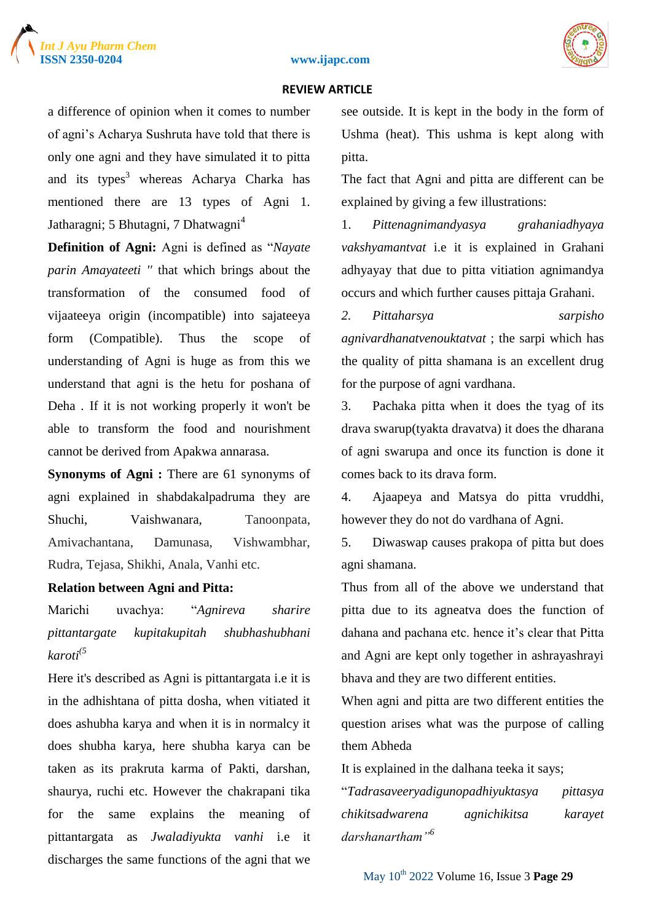





#### **REVIEW ARTICLE**

a difference of opinion when it comes to number of agni's Acharya Sushruta have told that there is only one agni and they have simulated it to pitta and its types<sup>3</sup> whereas Acharya Charka has mentioned there are 13 types of Agni 1. Jatharagni; 5 Bhutagni, 7 Dhatwagni<sup>4</sup>

**Definition of Agni:** Agni is defined as "*Nayate parin Amayateeti ''* that which brings about the transformation of the consumed food of vijaateeya origin (incompatible) into sajateeya form (Compatible). Thus the scope of understanding of Agni is huge as from this we understand that agni is the hetu for poshana of Deha . If it is not working properly it won't be able to transform the food and nourishment cannot be derived from Apakwa annarasa.

**Synonyms of Agni :** There are 61 synonyms of agni explained in shabdakalpadruma they are Shuchi, Vaishwanara, Tanoonpata, Amivachantana, Damunasa, Vishwambhar, Rudra, Tejasa, Shikhi, Anala, Vanhi etc.

#### **Relation between Agni and Pitta:**

Marichi uvachya: "*Agnireva sharire pittantargate kupitakupitah shubhashubhani karoti(5*

Here it's described as Agni is pittantargata i.e it is in the adhishtana of pitta dosha, when vitiated it does ashubha karya and when it is in normalcy it does shubha karya, here shubha karya can be taken as its prakruta karma of Pakti, darshan, shaurya, ruchi etc. However the chakrapani tika for the same explains the meaning of pittantargata as *Jwaladiyukta vanhi* i.e it discharges the same functions of the agni that we see outside. It is kept in the body in the form of Ushma (heat). This ushma is kept along with pitta.

The fact that Agni and pitta are different can be explained by giving a few illustrations:

1. *Pittenagnimandyasya grahaniadhyaya vakshyamantvat* i.e it is explained in Grahani adhyayay that due to pitta vitiation agnimandya occurs and which further causes pittaja Grahani.

*2. Pittaharsya sarpisho agnivardhanatvenouktatvat* ; the sarpi which has the quality of pitta shamana is an excellent drug for the purpose of agni vardhana.

3. Pachaka pitta when it does the tyag of its drava swarup(tyakta dravatva) it does the dharana of agni swarupa and once its function is done it comes back to its drava form.

4. Ajaapeya and Matsya do pitta vruddhi, however they do not do vardhana of Agni.

5. Diwaswap causes prakopa of pitta but does agni shamana.

Thus from all of the above we understand that pitta due to its agneatva does the function of dahana and pachana etc. hence it's clear that Pitta and Agni are kept only together in ashrayashrayi bhava and they are two different entities.

When agni and pitta are two different entities the question arises what was the purpose of calling them Abheda

It is explained in the dalhana teeka it says;

"*Tadrasaveeryadigunopadhiyuktasya pittasya chikitsadwarena agnichikitsa karayet darshanartham"<sup>6</sup>*

May 10th 2022 Volume 16, Issue 3 **Page 29**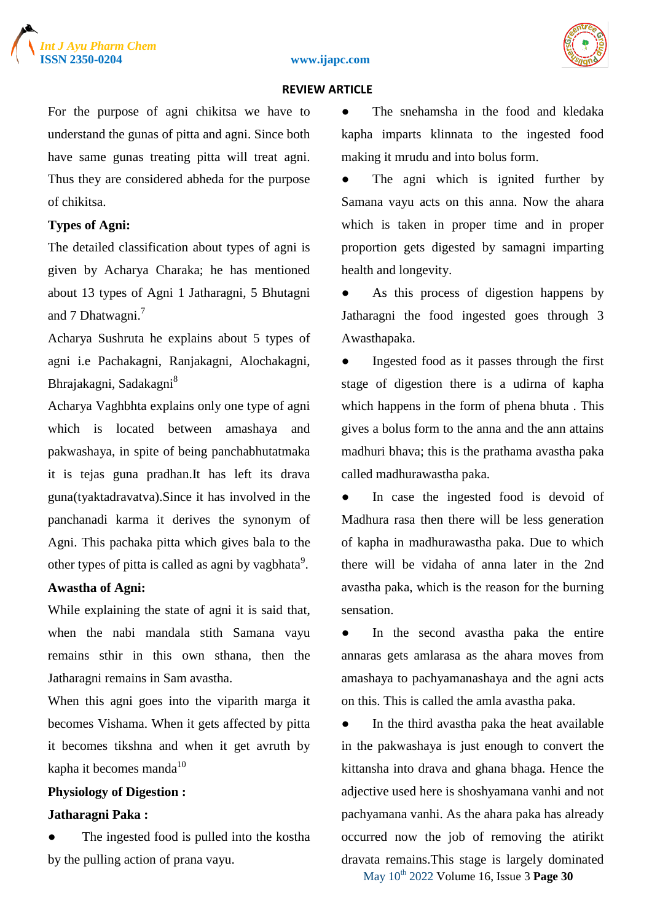



#### **ISSN 2350-0204 www.ijapc.com**

#### **REVIEW ARTICLE**

For the purpose of agni chikitsa we have to understand the gunas of pitta and agni. Since both have same gunas treating pitta will treat agni. Thus they are considered abheda for the purpose of chikitsa.

#### **Types of Agni:**

The detailed classification about types of agni is given by Acharya Charaka; he has mentioned about 13 types of Agni 1 Jatharagni, 5 Bhutagni and 7 Dhatwagni.<sup>7</sup>

Acharya Sushruta he explains about 5 types of agni i.e Pachakagni, Ranjakagni, Alochakagni, Bhrajakagni, Sadakagni<sup>8</sup>

Acharya Vaghbhta explains only one type of agni which is located between amashaya and pakwashaya, in spite of being panchabhutatmaka it is tejas guna pradhan.It has left its drava guna(tyaktadravatva).Since it has involved in the panchanadi karma it derives the synonym of Agni. This pachaka pitta which gives bala to the other types of pitta is called as agni by vagbhata $^9$ .

#### **Awastha of Agni:**

While explaining the state of agni it is said that, when the nabi mandala stith Samana vayu remains sthir in this own sthana, then the Jatharagni remains in Sam avastha.

When this agni goes into the viparith marga it becomes Vishama. When it gets affected by pitta it becomes tikshna and when it get avruth by kapha it becomes manda $10$ 

#### **Physiology of Digestion :**

#### **Jatharagni Paka :**

The ingested food is pulled into the kostha by the pulling action of prana vayu.

The snehamsha in the food and kledaka kapha imparts klinnata to the ingested food making it mrudu and into bolus form.

The agni which is ignited further by Samana vayu acts on this anna. Now the ahara which is taken in proper time and in proper proportion gets digested by samagni imparting health and longevity.

As this process of digestion happens by Jatharagni the food ingested goes through 3 Awasthapaka.

● Ingested food as it passes through the first stage of digestion there is a udirna of kapha which happens in the form of phena bhuta . This gives a bolus form to the anna and the ann attains madhuri bhava; this is the prathama avastha paka called madhurawastha paka.

In case the ingested food is devoid of Madhura rasa then there will be less generation of kapha in madhurawastha paka. Due to which there will be vidaha of anna later in the 2nd avastha paka, which is the reason for the burning sensation.

● In the second avastha paka the entire annaras gets amlarasa as the ahara moves from amashaya to pachyamanashaya and the agni acts on this. This is called the amla avastha paka.

May 10th 2022 Volume 16, Issue 3 **Page 30** • In the third avastha paka the heat available in the pakwashaya is just enough to convert the kittansha into drava and ghana bhaga. Hence the adjective used here is shoshyamana vanhi and not pachyamana vanhi. As the ahara paka has already occurred now the job of removing the atirikt dravata remains.This stage is largely dominated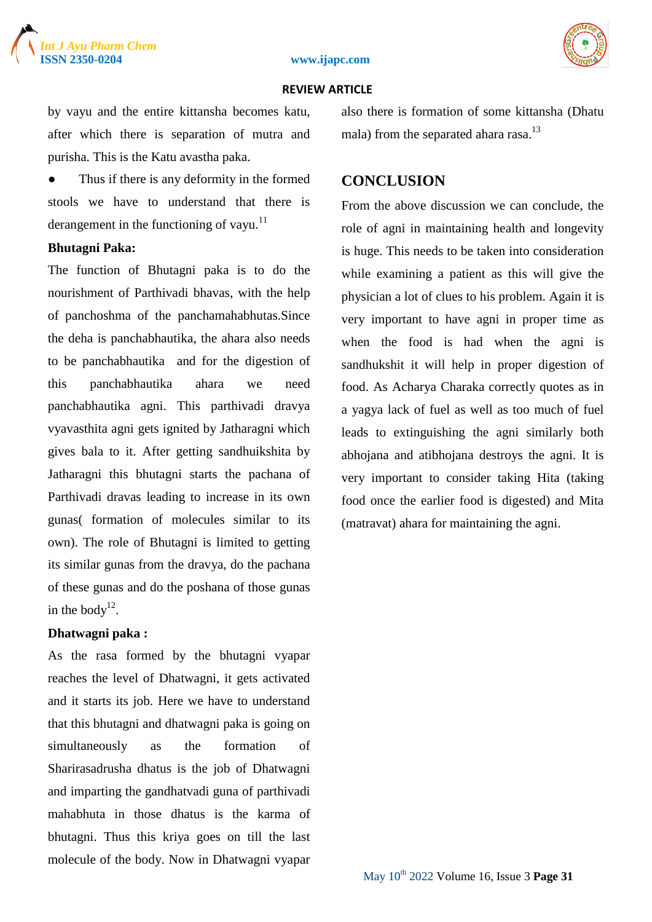

#### **ISSN 2350-0204 www.ijapc.com**



#### **REVIEW ARTICLE**

by vayu and the entire kittansha becomes katu, after which there is separation of mutra and purisha. This is the Katu avastha paka.

Thus if there is any deformity in the formed stools we have to understand that there is derangement in the functioning of vayu.<sup>11</sup>

#### **Bhutagni Paka:**

The function of Bhutagni paka is to do the nourishment of Parthivadi bhavas, with the help of panchoshma of the panchamahabhutas.Since the deha is panchabhautika, the ahara also needs to be panchabhautika and for the digestion of this panchabhautika ahara we need panchabhautika agni. This parthivadi dravya vyavasthita agni gets ignited by Jatharagni which gives bala to it. After getting sandhuikshita by Jatharagni this bhutagni starts the pachana of Parthivadi dravas leading to increase in its own gunas( formation of molecules similar to its own). The role of Bhutagni is limited to getting its similar gunas from the dravya, do the pachana of these gunas and do the poshana of those gunas in the body $12$ .

#### **Dhatwagni paka :**

As the rasa formed by the bhutagni vyapar reaches the level of Dhatwagni, it gets activated and it starts its job. Here we have to understand that this bhutagni and dhatwagni paka is going on simultaneously as the formation of Sharirasadrusha dhatus is the job of Dhatwagni and imparting the gandhatvadi guna of parthivadi mahabhuta in those dhatus is the karma of bhutagni. Thus this kriya goes on till the last molecule of the body. Now in Dhatwagni vyapar also there is formation of some kittansha (Dhatu mala) from the separated ahara rasa.<sup>13</sup>

### **CONCLUSION**

From the above discussion we can conclude, the role of agni in maintaining health and longevity is huge. This needs to be taken into consideration while examining a patient as this will give the physician a lot of clues to his problem. Again it is very important to have agni in proper time as when the food is had when the agni is sandhukshit it will help in proper digestion of food. As Acharya Charaka correctly quotes as in a yagya lack of fuel as well as too much of fuel leads to extinguishing the agni similarly both abhojana and atibhojana destroys the agni. It is very important to consider taking Hita (taking food once the earlier food is digested) and Mita (matravat) ahara for maintaining the agni.